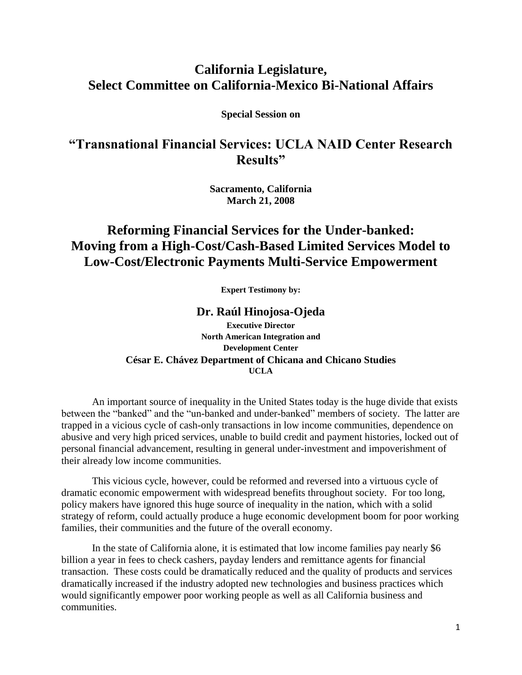# **California Legislature, Select Committee on California-Mexico Bi-National Affairs**

**Special Session on** 

# **"Transnational Financial Services: UCLA NAID Center Research Results"**

**Sacramento, California March 21, 2008**

# **Reforming Financial Services for the Under-banked: Moving from a High-Cost/Cash-Based Limited Services Model to Low-Cost/Electronic Payments Multi-Service Empowerment**

**Expert Testimony by:**

### **Dr. Raúl Hinojosa-Ojeda**

**Executive Director North American Integration and Development Center César E. Chávez Department of Chicana and Chicano Studies UCLA**

An important source of inequality in the United States today is the huge divide that exists between the "banked" and the "un-banked and under-banked" members of society. The latter are trapped in a vicious cycle of cash-only transactions in low income communities, dependence on abusive and very high priced services, unable to build credit and payment histories, locked out of personal financial advancement, resulting in general under-investment and impoverishment of their already low income communities.

This vicious cycle, however, could be reformed and reversed into a virtuous cycle of dramatic economic empowerment with widespread benefits throughout society. For too long, policy makers have ignored this huge source of inequality in the nation, which with a solid strategy of reform, could actually produce a huge economic development boom for poor working families, their communities and the future of the overall economy.

In the state of California alone, it is estimated that low income families pay nearly \$6 billion a year in fees to check cashers, payday lenders and remittance agents for financial transaction. These costs could be dramatically reduced and the quality of products and services dramatically increased if the industry adopted new technologies and business practices which would significantly empower poor working people as well as all California business and communities.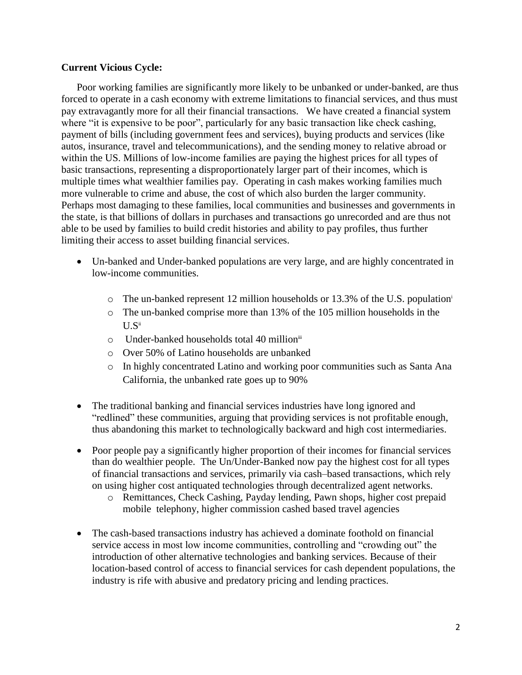### **Current Vicious Cycle:**

Poor working families are significantly more likely to be unbanked or under-banked, are thus forced to operate in a cash economy with extreme limitations to financial services, and thus must pay extravagantly more for all their financial transactions. We have created a financial system where "it is expensive to be poor", particularly for any basic transaction like check cashing, payment of bills (including government fees and services), buying products and services (like autos, insurance, travel and telecommunications), and the sending money to relative abroad or within the US. Millions of low-income families are paying the highest prices for all types of basic transactions, representing a disproportionately larger part of their incomes, which is multiple times what wealthier families pay. Operating in cash makes working families much more vulnerable to crime and abuse, the cost of which also burden the larger community. Perhaps most damaging to these families, local communities and businesses and governments in the state, is that billions of dollars in purchases and transactions go unrecorded and are thus not able to be used by families to build credit histories and ability to pay profiles, thus further limiting their access to asset building financial services.

- Un-banked and Under-banked populations are very large, and are highly concentrated in low-income communities.
	- o The un-banked represent 12 million households or 13.3% of the U.S. population<sup>i</sup>
	- o The un-banked comprise more than 13% of the 105 million households in the  $U.S<sup>ii</sup>$
	- o Under-banked households total 40 millioniii
	- o Over 50% of Latino households are unbanked
	- o In highly concentrated Latino and working poor communities such as Santa Ana California, the unbanked rate goes up to 90%
- The traditional banking and financial services industries have long ignored and "redlined" these communities, arguing that providing services is not profitable enough, thus abandoning this market to technologically backward and high cost intermediaries.
- Poor people pay a significantly higher proportion of their incomes for financial services than do wealthier people. The Un/Under-Banked now pay the highest cost for all types of financial transactions and services, primarily via cash–based transactions, which rely on using higher cost antiquated technologies through decentralized agent networks.
	- o Remittances, Check Cashing, Payday lending, Pawn shops, higher cost prepaid mobile telephony, higher commission cashed based travel agencies
- The cash-based transactions industry has achieved a dominate foothold on financial service access in most low income communities, controlling and "crowding out" the introduction of other alternative technologies and banking services. Because of their location-based control of access to financial services for cash dependent populations, the industry is rife with abusive and predatory pricing and lending practices.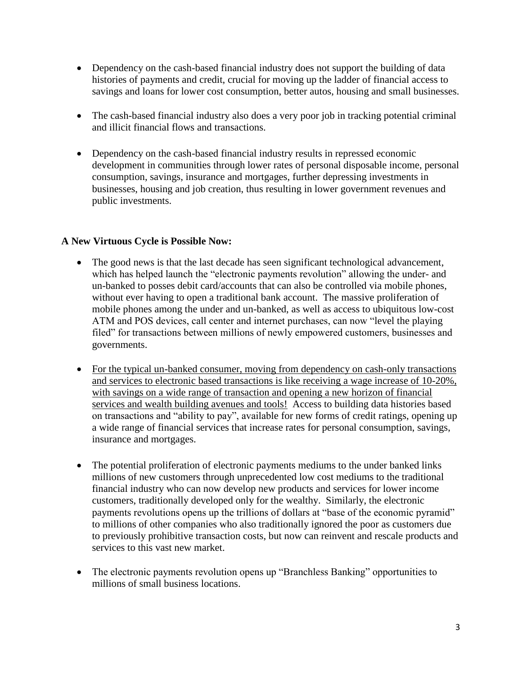- Dependency on the cash-based financial industry does not support the building of data histories of payments and credit, crucial for moving up the ladder of financial access to savings and loans for lower cost consumption, better autos, housing and small businesses.
- The cash-based financial industry also does a very poor job in tracking potential criminal and illicit financial flows and transactions.
- Dependency on the cash-based financial industry results in repressed economic development in communities through lower rates of personal disposable income, personal consumption, savings, insurance and mortgages, further depressing investments in businesses, housing and job creation, thus resulting in lower government revenues and public investments.

## **A New Virtuous Cycle is Possible Now:**

- The good news is that the last decade has seen significant technological advancement, which has helped launch the "electronic payments revolution" allowing the under- and un-banked to posses debit card/accounts that can also be controlled via mobile phones, without ever having to open a traditional bank account. The massive proliferation of mobile phones among the under and un-banked, as well as access to ubiquitous low-cost ATM and POS devices, call center and internet purchases, can now "level the playing filed" for transactions between millions of newly empowered customers, businesses and governments.
- For the typical un-banked consumer, moving from dependency on cash-only transactions and services to electronic based transactions is like receiving a wage increase of 10-20%, with savings on a wide range of transaction and opening a new horizon of financial services and wealth building avenues and tools! Access to building data histories based on transactions and "ability to pay", available for new forms of credit ratings, opening up a wide range of financial services that increase rates for personal consumption, savings, insurance and mortgages.
- The potential proliferation of electronic payments mediums to the under banked links millions of new customers through unprecedented low cost mediums to the traditional financial industry who can now develop new products and services for lower income customers, traditionally developed only for the wealthy. Similarly, the electronic payments revolutions opens up the trillions of dollars at "base of the economic pyramid" to millions of other companies who also traditionally ignored the poor as customers due to previously prohibitive transaction costs, but now can reinvent and rescale products and services to this vast new market.
- The electronic payments revolution opens up "Branchless Banking" opportunities to millions of small business locations.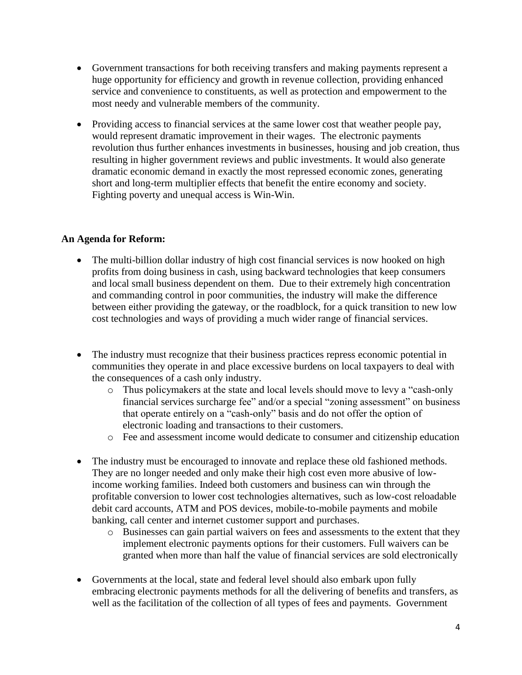- Government transactions for both receiving transfers and making payments represent a huge opportunity for efficiency and growth in revenue collection, providing enhanced service and convenience to constituents, as well as protection and empowerment to the most needy and vulnerable members of the community.
- Providing access to financial services at the same lower cost that weather people pay, would represent dramatic improvement in their wages. The electronic payments revolution thus further enhances investments in businesses, housing and job creation, thus resulting in higher government reviews and public investments. It would also generate dramatic economic demand in exactly the most repressed economic zones, generating short and long-term multiplier effects that benefit the entire economy and society. Fighting poverty and unequal access is Win-Win.

## **An Agenda for Reform:**

- The multi-billion dollar industry of high cost financial services is now hooked on high profits from doing business in cash, using backward technologies that keep consumers and local small business dependent on them. Due to their extremely high concentration and commanding control in poor communities, the industry will make the difference between either providing the gateway, or the roadblock, for a quick transition to new low cost technologies and ways of providing a much wider range of financial services.
- The industry must recognize that their business practices repress economic potential in communities they operate in and place excessive burdens on local taxpayers to deal with the consequences of a cash only industry.
	- o Thus policymakers at the state and local levels should move to levy a "cash-only financial services surcharge fee" and/or a special "zoning assessment" on business that operate entirely on a "cash-only" basis and do not offer the option of electronic loading and transactions to their customers.
	- o Fee and assessment income would dedicate to consumer and citizenship education
- The industry must be encouraged to innovate and replace these old fashioned methods. They are no longer needed and only make their high cost even more abusive of lowincome working families. Indeed both customers and business can win through the profitable conversion to lower cost technologies alternatives, such as low-cost reloadable debit card accounts, ATM and POS devices, mobile-to-mobile payments and mobile banking, call center and internet customer support and purchases.
	- o Businesses can gain partial waivers on fees and assessments to the extent that they implement electronic payments options for their customers. Full waivers can be granted when more than half the value of financial services are sold electronically
- Governments at the local, state and federal level should also embark upon fully embracing electronic payments methods for all the delivering of benefits and transfers, as well as the facilitation of the collection of all types of fees and payments. Government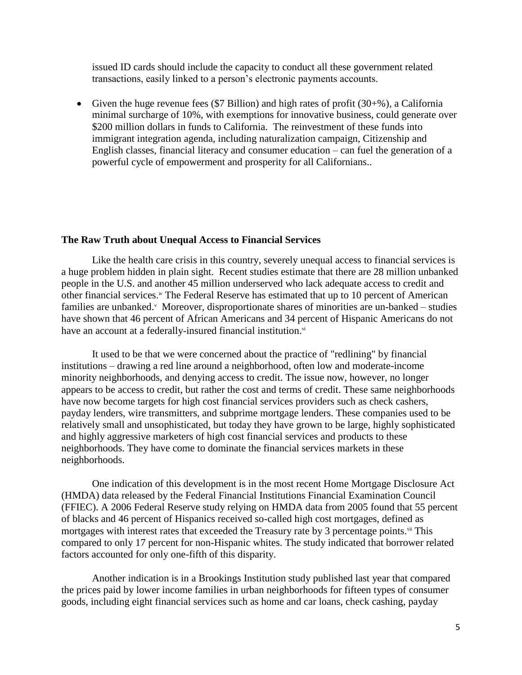issued ID cards should include the capacity to conduct all these government related transactions, easily linked to a person's electronic payments accounts.

Given the huge revenue fees (\$7 Billion) and high rates of profit  $(30+%)$ , a California minimal surcharge of 10%, with exemptions for innovative business, could generate over \$200 million dollars in funds to California. The reinvestment of these funds into immigrant integration agenda, including naturalization campaign, Citizenship and English classes, financial literacy and consumer education – can fuel the generation of a powerful cycle of empowerment and prosperity for all Californians..

#### **The Raw Truth about Unequal Access to Financial Services**

Like the health care crisis in this country, severely unequal access to financial services is a huge problem hidden in plain sight. Recent studies estimate that there are 28 million unbanked people in the U.S. and another 45 million underserved who lack adequate access to credit and other financial services.<sup>iv</sup> The Federal Reserve has estimated that up to 10 percent of American families are unbanked. Moreover, disproportionate shares of minorities are un-banked – studies have shown that 46 percent of African Americans and 34 percent of Hispanic Americans do not have an account at a federally-insured financial institution.<sup>vi</sup>

It used to be that we were concerned about the practice of "redlining" by financial institutions – drawing a red line around a neighborhood, often low and moderate-income minority neighborhoods, and denying access to credit. The issue now, however, no longer appears to be access to credit, but rather the cost and terms of credit. These same neighborhoods have now become targets for high cost financial services providers such as check cashers, payday lenders, wire transmitters, and subprime mortgage lenders. These companies used to be relatively small and unsophisticated, but today they have grown to be large, highly sophisticated and highly aggressive marketers of high cost financial services and products to these neighborhoods. They have come to dominate the financial services markets in these neighborhoods.

One indication of this development is in the most recent Home Mortgage Disclosure Act (HMDA) data released by the Federal Financial Institutions Financial Examination Council (FFIEC). A 2006 Federal Reserve study relying on HMDA data from 2005 found that 55 percent of blacks and 46 percent of Hispanics received so-called high cost mortgages, defined as mortgages with interest rates that exceeded the Treasury rate by 3 percentage points. $\ddot{ }$  This compared to only 17 percent for non-Hispanic whites. The study indicated that borrower related factors accounted for only one-fifth of this disparity.

Another indication is in a Brookings Institution study published last year that compared the prices paid by lower income families in urban neighborhoods for fifteen types of consumer goods, including eight financial services such as home and car loans, check cashing, payday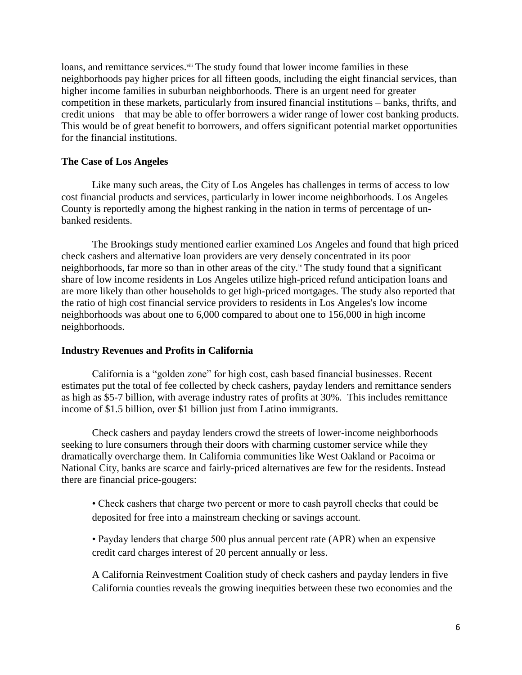loans, and remittance services. Viii The study found that lower income families in these neighborhoods pay higher prices for all fifteen goods, including the eight financial services, than higher income families in suburban neighborhoods. There is an urgent need for greater competition in these markets, particularly from insured financial institutions – banks, thrifts, and credit unions – that may be able to offer borrowers a wider range of lower cost banking products. This would be of great benefit to borrowers, and offers significant potential market opportunities for the financial institutions.

#### **The Case of Los Angeles**

Like many such areas, the City of Los Angeles has challenges in terms of access to low cost financial products and services, particularly in lower income neighborhoods. Los Angeles County is reportedly among the highest ranking in the nation in terms of percentage of unbanked residents.

The Brookings study mentioned earlier examined Los Angeles and found that high priced check cashers and alternative loan providers are very densely concentrated in its poor neighborhoods, far more so than in other areas of the city.<sup>ix</sup> The study found that a significant share of low income residents in Los Angeles utilize high-priced refund anticipation loans and are more likely than other households to get high-priced mortgages. The study also reported that the ratio of high cost financial service providers to residents in Los Angeles's low income neighborhoods was about one to 6,000 compared to about one to 156,000 in high income neighborhoods.

#### **Industry Revenues and Profits in California**

California is a "golden zone" for high cost, cash based financial businesses. Recent estimates put the total of fee collected by check cashers, payday lenders and remittance senders as high as \$5-7 billion, with average industry rates of profits at 30%. This includes remittance income of \$1.5 billion, over \$1 billion just from Latino immigrants.

Check cashers and payday lenders crowd the streets of lower-income neighborhoods seeking to lure consumers through their doors with charming customer service while they dramatically overcharge them. In California communities like West Oakland or Pacoima or National City, banks are scarce and fairly-priced alternatives are few for the residents. Instead there are financial price-gougers:

• Check cashers that charge two percent or more to cash payroll checks that could be deposited for free into a mainstream checking or savings account.

• Payday lenders that charge 500 plus annual percent rate (APR) when an expensive credit card charges interest of 20 percent annually or less.

A California Reinvestment Coalition study of check cashers and payday lenders in five California counties reveals the growing inequities between these two economies and the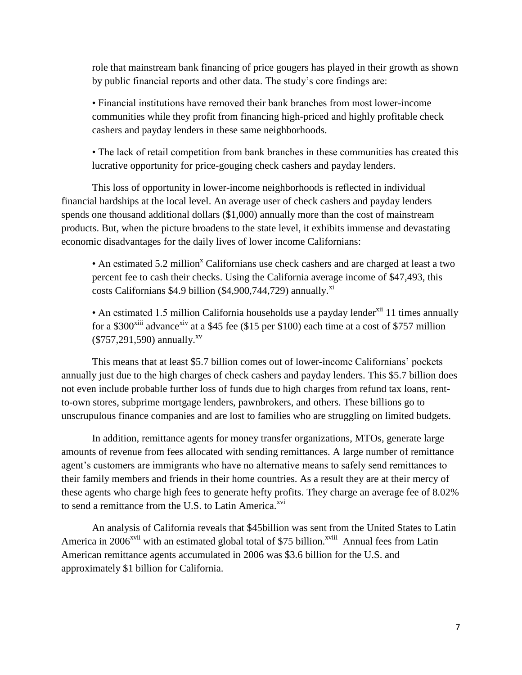role that mainstream bank financing of price gougers has played in their growth as shown by public financial reports and other data. The study's core findings are:

• Financial institutions have removed their bank branches from most lower-income communities while they profit from financing high-priced and highly profitable check cashers and payday lenders in these same neighborhoods.

• The lack of retail competition from bank branches in these communities has created this lucrative opportunity for price-gouging check cashers and payday lenders.

This loss of opportunity in lower-income neighborhoods is reflected in individual financial hardships at the local level. An average user of check cashers and payday lenders spends one thousand additional dollars (\$1,000) annually more than the cost of mainstream products. But, when the picture broadens to the state level, it exhibits immense and devastating economic disadvantages for the daily lives of lower income Californians:

• An estimated 5.2 million<sup>x</sup> Californians use check cashers and are charged at least a two percent fee to cash their checks. Using the California average income of \$47,493, this costs Californians  $$4.9$  billion ( $$4,900,744,729$ ) annually.<sup>xi</sup>

• An estimated 1.5 million California households use a payday lender<sup>xii</sup> 11 times annually for a \$300 $x^{3}$ iii advance<sup>xiv</sup> at a \$45 fee (\$15 per \$100) each time at a cost of \$757 million  $(\$757,291,590)$  annually.<sup>xv</sup>

This means that at least \$5.7 billion comes out of lower-income Californians' pockets annually just due to the high charges of check cashers and payday lenders. This \$5.7 billion does not even include probable further loss of funds due to high charges from refund tax loans, rentto-own stores, subprime mortgage lenders, pawnbrokers, and others. These billions go to unscrupulous finance companies and are lost to families who are struggling on limited budgets.

In addition, remittance agents for money transfer organizations, MTOs, generate large amounts of revenue from fees allocated with sending remittances. A large number of remittance agent's customers are immigrants who have no alternative means to safely send remittances to their family members and friends in their home countries. As a result they are at their mercy of these agents who charge high fees to generate hefty profits. They charge an average fee of 8.02% to send a remittance from the U.S. to Latin America. $x<sub>vi</sub>$ 

An analysis of California reveals that \$45billion was sent from the United States to Latin America in 2006<sup>xvii</sup> with an estimated global total of \$75 billion.<sup>xviii</sup> Annual fees from Latin American remittance agents accumulated in 2006 was \$3.6 billion for the U.S. and approximately \$1 billion for California.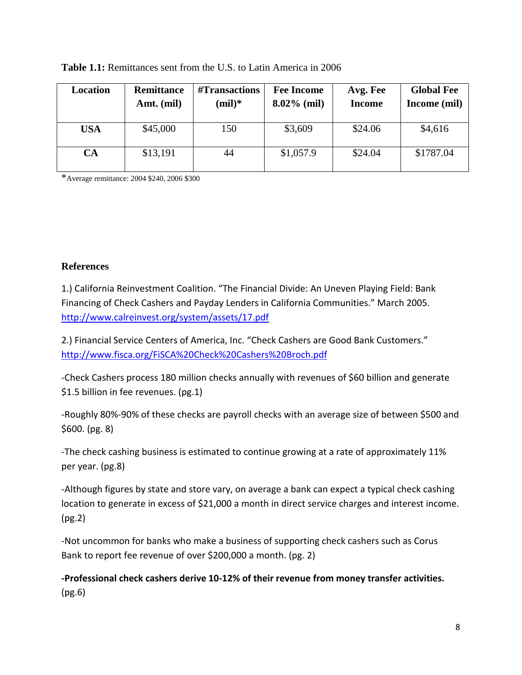| Location   | <b>Remittance</b><br>Amt. (mil) | #Transactions<br>$(mil)*$ | <b>Fee Income</b><br>$8.02\%$ (mil) | Avg. Fee<br><b>Income</b> | <b>Global Fee</b><br>Income (mil) |
|------------|---------------------------------|---------------------------|-------------------------------------|---------------------------|-----------------------------------|
| <b>USA</b> | \$45,000                        | 150                       | \$3,609                             | \$24.06                   | \$4,616                           |
| CA         | \$13,191                        | 44                        | \$1,057.9                           | \$24.04                   | \$1787.04                         |

## **Table 1.1:** Remittances sent from the U.S. to Latin America in 2006

\*Average remittance: 2004 \$240, 2006 \$300

## **References**

1.) California Reinvestment Coalition. "The Financial Divide: An Uneven Playing Field: Bank Financing of Check Cashers and Payday Lenders in California Communities." March 2005. <http://www.calreinvest.org/system/assets/17.pdf>

2.) Financial Service Centers of America, Inc. "Check Cashers are Good Bank Customers." <http://www.fisca.org/FiSCA%20Check%20Cashers%20Broch.pdf>

-Check Cashers process 180 million checks annually with revenues of \$60 billion and generate \$1.5 billion in fee revenues. (pg.1)

-Roughly 80%-90% of these checks are payroll checks with an average size of between \$500 and \$600. (pg. 8)

-The check cashing business is estimated to continue growing at a rate of approximately 11% per year. (pg.8)

-Although figures by state and store vary, on average a bank can expect a typical check cashing location to generate in excess of \$21,000 a month in direct service charges and interest income. (pg.2)

-Not uncommon for banks who make a business of supporting check cashers such as Corus Bank to report fee revenue of over \$200,000 a month. (pg. 2)

**-Professional check cashers derive 10-12% of their revenue from money transfer activities.**  (pg.6)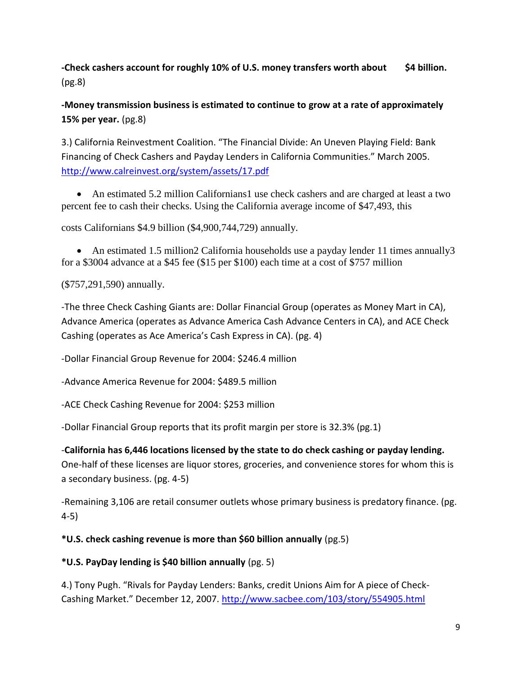**-Check cashers account for roughly 10% of U.S. money transfers worth about \$4 billion.**  (pg.8)

**-Money transmission business is estimated to continue to grow at a rate of approximately 15% per year.** (pg.8)

3.) California Reinvestment Coalition. "The Financial Divide: An Uneven Playing Field: Bank Financing of Check Cashers and Payday Lenders in California Communities." March 2005. <http://www.calreinvest.org/system/assets/17.pdf>

 An estimated 5.2 million Californians1 use check cashers and are charged at least a two percent fee to cash their checks. Using the California average income of \$47,493, this

costs Californians \$4.9 billion (\$4,900,744,729) annually.

• An estimated 1.5 million2 California households use a payday lender 11 times annually 3 for a \$3004 advance at a \$45 fee (\$15 per \$100) each time at a cost of \$757 million

(\$757,291,590) annually.

-The three Check Cashing Giants are: Dollar Financial Group (operates as Money Mart in CA), Advance America (operates as Advance America Cash Advance Centers in CA), and ACE Check Cashing (operates as Ace America's Cash Express in CA). (pg. 4)

-Dollar Financial Group Revenue for 2004: \$246.4 million

-Advance America Revenue for 2004: \$489.5 million

-ACE Check Cashing Revenue for 2004: \$253 million

-Dollar Financial Group reports that its profit margin per store is 32.3% (pg.1)

-**California has 6,446 locations licensed by the state to do check cashing or payday lending.** One-half of these licenses are liquor stores, groceries, and convenience stores for whom this is a secondary business. (pg. 4-5)

-Remaining 3,106 are retail consumer outlets whose primary business is predatory finance. (pg. 4-5)

**\*U.S. check cashing revenue is more than \$60 billion annually** (pg.5)

## **\*U.S. PayDay lending is \$40 billion annually** (pg. 5)

4.) Tony Pugh. "Rivals for Payday Lenders: Banks, credit Unions Aim for A piece of CheckCashing Market." December 12, 2007. <http://www.sacbee.com/103/story/554905.html>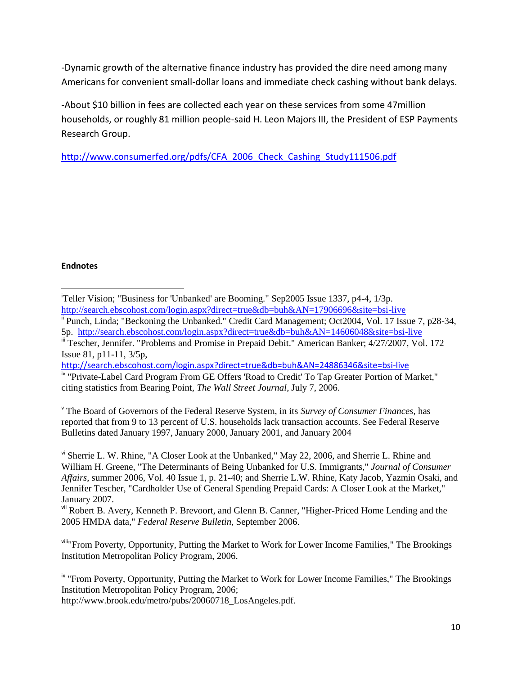-Dynamic growth of the alternative finance industry has provided the dire need among many Americans for convenient small-dollar loans and immediate check cashing without bank delays.

-About \$10 billion in fees are collected each year on these services from some 47million households, or roughly 81 million people-said H. Leon Majors III, the President of ESP Payments Research Group.

[http://www.consumerfed.org/pdfs/CFA\\_2006\\_Check\\_Cashing\\_Study111506.pdf](http://www.consumerfed.org/pdfs/CFA_2006_Check_Cashing_Study111506.pdf)

### **Endnotes**

- $\overline{\phantom{a}}$ <sup>i</sup>Teller Vision; "Business for 'Unbanked' are Booming." Sep2005 Issue 1337, p4-4, 1/3p. <http://search.ebscohost.com/login.aspx?direct=true&db=buh&AN=17906696&site=bsi-live>
- ii Punch, Linda; "Beckoning the Unbanked." Credit Card Management; Oct2004, Vol. 17 Issue 7, p28-34, 5p. <http://search.ebscohost.com/login.aspx?direct=true&db=buh&AN=14606048&site=bsi-live>
- <sup>iii</sup> Tescher, Jennifer. "Problems and Promise in Prepaid Debit." American Banker; 4/27/2007, Vol. 172 Issue 81, p11-11, 3/5p,

<http://search.ebscohost.com/login.aspx?direct=true&db=buh&AN=24886346&site=bsi-live> iv "Private-Label Card Program From GE Offers 'Road to Credit' To Tap Greater Portion of Market," citing statistics from Bearing Point, *The Wall Street Journal*, July 7, 2006.

<sup>v</sup> The Board of Governors of the Federal Reserve System, in its *Survey of Consumer Finances*, has reported that from 9 to 13 percent of U.S. households lack transaction accounts. See Federal Reserve Bulletins dated January 1997, January 2000, January 2001, and January 2004

vi Sherrie L. W. Rhine, "A Closer Look at the Unbanked," May 22, 2006, and Sherrie L. Rhine and William H. Greene, "The Determinants of Being Unbanked for U.S. Immigrants," *Journal of Consumer Affairs*, summer 2006, Vol. 40 Issue 1, p. 21-40; and Sherrie L.W. Rhine, Katy Jacob, Yazmin Osaki, and Jennifer Tescher, "Cardholder Use of General Spending Prepaid Cards: A Closer Look at the Market," January 2007.

v<sup>ii</sup> Robert B. Avery, Kenneth P. Brevoort, and Glenn B. Canner, "Higher-Priced Home Lending and the 2005 HMDA data," *Federal Reserve Bulletin*, September 2006.

viii"From Poverty, Opportunity, Putting the Market to Work for Lower Income Families," The Brookings Institution Metropolitan Policy Program, 2006.

<sup>ix</sup> "From Poverty, Opportunity, Putting the Market to Work for Lower Income Families," The Brookings Institution Metropolitan Policy Program, 2006;

http://www.brook.edu/metro/pubs/20060718\_LosAngeles.pdf.